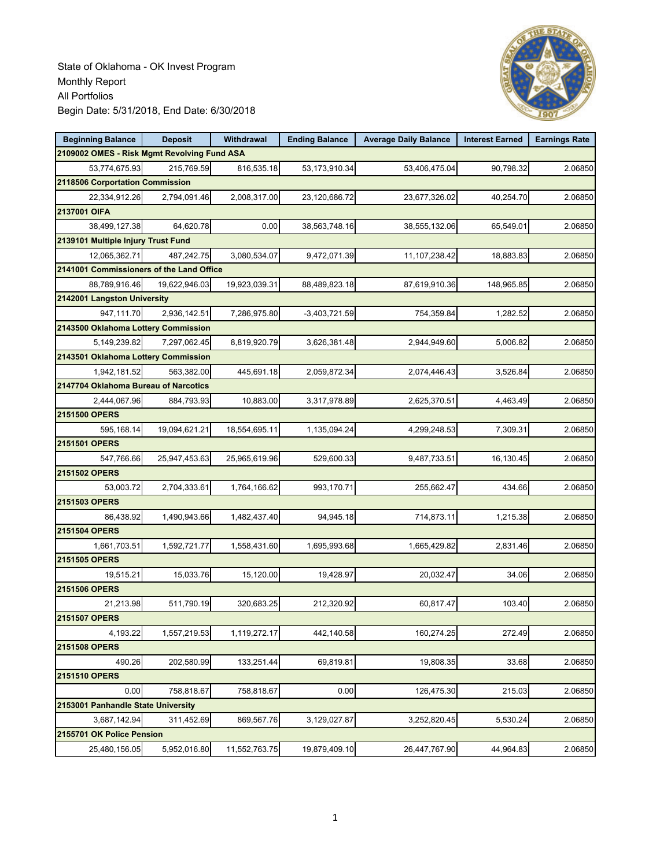

| <b>Beginning Balance</b>                    | <b>Deposit</b> | Withdrawal    | <b>Ending Balance</b> | <b>Average Daily Balance</b> | <b>Interest Earned</b> | <b>Earnings Rate</b> |
|---------------------------------------------|----------------|---------------|-----------------------|------------------------------|------------------------|----------------------|
| 2109002 OMES - Risk Mgmt Revolving Fund ASA |                |               |                       |                              |                        |                      |
| 53,774,675.93                               | 215,769.59     | 816,535.18    | 53,173,910.34         | 53,406,475.04                | 90,798.32              | 2.06850              |
| 2118506 Corportation Commission             |                |               |                       |                              |                        |                      |
| 22,334,912.26                               | 2,794,091.46   | 2,008,317.00  | 23,120,686.72         | 23,677,326.02                | 40,254.70              | 2.06850              |
| 2137001 OIFA                                |                |               |                       |                              |                        |                      |
| 38,499,127.38                               | 64,620.78      | 0.00          | 38,563,748.16         | 38,555,132.06                | 65,549.01              | 2.06850              |
| 2139101 Multiple Injury Trust Fund          |                |               |                       |                              |                        |                      |
| 12,065,362.71                               | 487,242.75     | 3,080,534.07  | 9,472,071.39          | 11,107,238.42                | 18,883.83              | 2.06850              |
| 2141001 Commissioners of the Land Office    |                |               |                       |                              |                        |                      |
| 88,789,916.46                               | 19,622,946.03  | 19,923,039.31 | 88,489,823.18         | 87,619,910.36                | 148,965.85             | 2.06850              |
| 2142001 Langston University                 |                |               |                       |                              |                        |                      |
| 947,111.70                                  | 2,936,142.51   | 7,286,975.80  | $-3,403,721.59$       | 754,359.84                   | 1,282.52               | 2.06850              |
| 2143500 Oklahoma Lottery Commission         |                |               |                       |                              |                        |                      |
| 5,149,239.82                                | 7,297,062.45   | 8,819,920.79  | 3,626,381.48          | 2,944,949.60                 | 5,006.82               | 2.06850              |
| 2143501 Oklahoma Lottery Commission         |                |               |                       |                              |                        |                      |
| 1,942,181.52                                | 563,382.00     | 445,691.18    | 2,059,872.34          | 2,074,446.43                 | 3,526.84               | 2.06850              |
| 2147704 Oklahoma Bureau of Narcotics        |                |               |                       |                              |                        |                      |
| 2,444,067.96                                | 884,793.93     | 10,883.00     | 3,317,978.89          | 2,625,370.51                 | 4,463.49               | 2.06850              |
| 2151500 OPERS                               |                |               |                       |                              |                        |                      |
| 595,168.14                                  | 19,094,621.21  | 18,554,695.11 | 1,135,094.24          | 4,299,248.53                 | 7,309.31               | 2.06850              |
| 2151501 OPERS                               |                |               |                       |                              |                        |                      |
| 547,766.66                                  | 25,947,453.63  | 25,965,619.96 | 529,600.33            | 9,487,733.51                 | 16,130.45              | 2.06850              |
| 2151502 OPERS                               |                |               |                       |                              |                        |                      |
| 53,003.72                                   | 2,704,333.61   | 1,764,166.62  | 993,170.71            | 255,662.47                   | 434.66                 | 2.06850              |
| 2151503 OPERS                               |                |               |                       |                              |                        |                      |
| 86,438.92                                   | 1,490,943.66   | 1,482,437.40  | 94,945.18             | 714,873.11                   | 1,215.38               | 2.06850              |
| 2151504 OPERS                               |                |               |                       |                              |                        |                      |
| 1,661,703.51                                | 1,592,721.77   | 1,558,431.60  | 1,695,993.68          | 1,665,429.82                 | 2,831.46               | 2.06850              |
| 2151505 OPERS                               |                |               |                       |                              |                        |                      |
| 19,515.21                                   | 15,033.76      | 15,120.00     | 19,428.97             | 20,032.47                    | 34.06                  | 2.06850              |
| 2151506 OPERS                               |                |               |                       |                              |                        |                      |
| 21,213.98                                   | 511,790.19     | 320,683.25    | 212,320.92            | 60,817.47                    | 103.40                 | 2.06850              |
| 2151507 OPERS                               |                |               |                       |                              |                        |                      |
| 4,193.22                                    | 1,557,219.53   | 1,119,272.17  | 442,140.58            | 160,274.25                   | 272.49                 | 2.06850              |
| 2151508 OPERS                               |                |               |                       |                              |                        |                      |
| 490.26                                      | 202,580.99     | 133,251.44    | 69,819.81             | 19,808.35                    | 33.68                  | 2.06850              |
| 2151510 OPERS                               |                |               |                       |                              |                        |                      |
| 0.00                                        | 758,818.67     | 758,818.67    | 0.00                  | 126,475.30                   | 215.03                 | 2.06850              |
| 2153001 Panhandle State University          |                |               |                       |                              |                        |                      |
| 3,687,142.94                                | 311,452.69     | 869,567.76    | 3,129,027.87          | 3,252,820.45                 | 5,530.24               | 2.06850              |
| 2155701 OK Police Pension                   |                |               |                       |                              |                        |                      |
| 25,480,156.05                               | 5,952,016.80   | 11,552,763.75 | 19,879,409.10         | 26,447,767.90                | 44,964.83              | 2.06850              |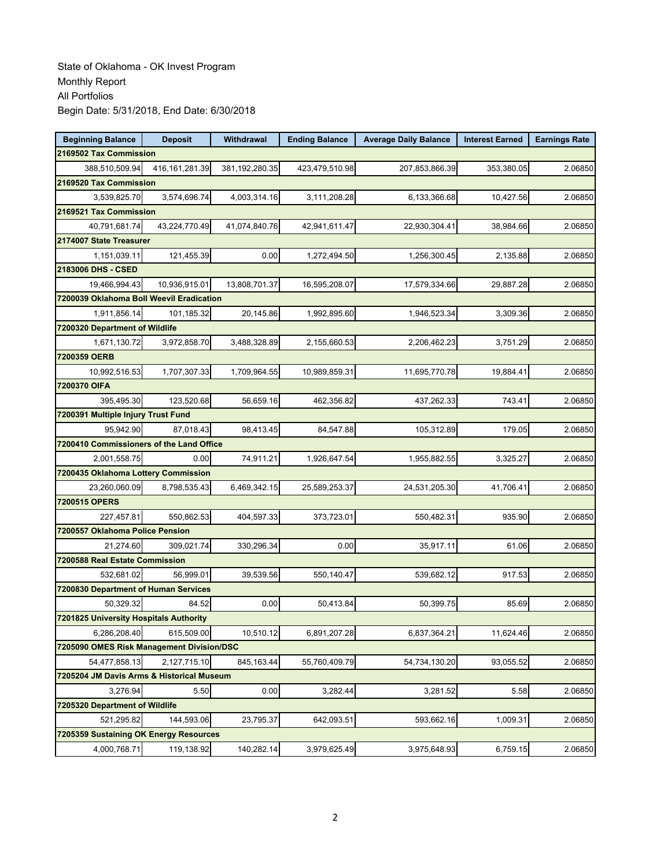| <b>Beginning Balance</b>                  | <b>Deposit</b>         | Withdrawal     | <b>Ending Balance</b> | <b>Average Daily Balance</b> | <b>Interest Earned</b> | <b>Earnings Rate</b> |  |  |  |  |
|-------------------------------------------|------------------------|----------------|-----------------------|------------------------------|------------------------|----------------------|--|--|--|--|
|                                           | 2169502 Tax Commission |                |                       |                              |                        |                      |  |  |  |  |
| 388,510,509.94                            | 416, 161, 281.39       | 381,192,280.35 | 423,479,510.98        | 207,853,866.39               | 353,380.05             | 2.06850              |  |  |  |  |
| 2169520 Tax Commission                    |                        |                |                       |                              |                        |                      |  |  |  |  |
| 3,539,825.70                              | 3,574,696.74           | 4,003,314.16   | 3,111,208.28          | 6,133,366.68                 | 10,427.56              | 2.06850              |  |  |  |  |
| 2169521 Tax Commission                    |                        |                |                       |                              |                        |                      |  |  |  |  |
| 40,791,681.74                             | 43,224,770.49          | 41,074,840.76  | 42,941,611.47         | 22,930,304.41                | 38,984.66              | 2.06850              |  |  |  |  |
| 2174007 State Treasurer                   |                        |                |                       |                              |                        |                      |  |  |  |  |
| 1,151,039.11                              | 121,455.39             | 0.00           | 1,272,494.50          | 1,256,300.45                 | 2,135.88               | 2.06850              |  |  |  |  |
| 2183006 DHS - CSED                        |                        |                |                       |                              |                        |                      |  |  |  |  |
| 19.466.994.43                             | 10,936,915.01          | 13,808,701.37  | 16,595,208.07         | 17,579,334.66                | 29,887.28              | 2.06850              |  |  |  |  |
| 7200039 Oklahoma Boll Weevil Eradication  |                        |                |                       |                              |                        |                      |  |  |  |  |
| 1,911,856.14                              | 101,185.32             | 20,145.86      | 1,992,895.60          | 1,946,523.34                 | 3,309.36               | 2.06850              |  |  |  |  |
| 7200320 Department of Wildlife            |                        |                |                       |                              |                        |                      |  |  |  |  |
| 1,671,130.72                              | 3,972,858.70           | 3,488,328.89   | 2,155,660.53          | 2,206,462.23                 | 3,751.29               | 2.06850              |  |  |  |  |
| 7200359 OERB                              |                        |                |                       |                              |                        |                      |  |  |  |  |
| 10,992,516.53                             | 1,707,307.33           | 1,709,964.55   | 10,989,859.31         | 11,695,770.78                | 19.884.41              | 2.06850              |  |  |  |  |
| 7200370 OIFA                              |                        |                |                       |                              |                        |                      |  |  |  |  |
| 395,495.30                                | 123,520.68             | 56,659.16      | 462.356.82            | 437,262.33                   | 743.41                 | 2.06850              |  |  |  |  |
| 7200391 Multiple Injury Trust Fund        |                        |                |                       |                              |                        |                      |  |  |  |  |
| 95,942.90                                 | 87,018.43              | 98,413.45      | 84,547.88             | 105,312.89                   | 179.05                 | 2.06850              |  |  |  |  |
| 7200410 Commissioners of the Land Office  |                        |                |                       |                              |                        |                      |  |  |  |  |
| 2,001,558.75                              | 0.00                   | 74,911.21      | 1,926,647.54          | 1,955,882.55                 | 3,325.27               | 2.06850              |  |  |  |  |
| 7200435 Oklahoma Lottery Commission       |                        |                |                       |                              |                        |                      |  |  |  |  |
| 23,260,060.09                             | 8,798,535.43           | 6,469,342.15   | 25,589,253.37         | 24,531,205.30                | 41,706.41              | 2.06850              |  |  |  |  |
| 7200515 OPERS                             |                        |                |                       |                              |                        |                      |  |  |  |  |
| 227,457.81                                | 550,862.53             | 404,597.33     | 373,723.01            | 550,482.31                   | 935.90                 | 2.06850              |  |  |  |  |
| 7200557 Oklahoma Police Pension           |                        |                |                       |                              |                        |                      |  |  |  |  |
| 21,274.60                                 | 309,021.74             | 330,296.34     | 0.00                  | 35,917.11                    | 61.06                  | 2.06850              |  |  |  |  |
| 7200588 Real Estate Commission            |                        |                |                       |                              |                        |                      |  |  |  |  |
| 532,681.02                                | 56,999.01              | 39,539.56      | 550,140.47            | 539,682.12                   | 917.53                 | 2.06850              |  |  |  |  |
| 7200830 Department of Human Services      |                        |                |                       |                              |                        |                      |  |  |  |  |
| 50,329.32                                 | 84.52                  | 0.00           | 50,413.84             | 50,399.75                    | 85.69                  | 2.06850              |  |  |  |  |
| 7201825 University Hospitals Authority    |                        |                |                       |                              |                        |                      |  |  |  |  |
| 6,286,208.40                              | 615,509.00             | 10,510.12      | 6,891,207.28          | 6,837,364.21                 | 11,624.46              | 2.06850              |  |  |  |  |
| 7205090 OMES Risk Management Division/DSC |                        |                |                       |                              |                        |                      |  |  |  |  |
| 54,477,858.13                             | 2,127,715.10           | 845, 163.44    | 55,760,409.79         | 54,734,130.20                | 93,055.52              | 2.06850              |  |  |  |  |
| 7205204 JM Davis Arms & Historical Museum |                        |                |                       |                              |                        |                      |  |  |  |  |
| 3,276.94                                  | 5.50                   | 0.00           | 3,282.44              | 3,281.52                     | 5.58                   | 2.06850              |  |  |  |  |
| 7205320 Department of Wildlife            |                        |                |                       |                              |                        |                      |  |  |  |  |
| 521,295.82                                | 144,593.06             | 23,795.37      | 642,093.51            | 593,662.16                   | 1,009.31               | 2.06850              |  |  |  |  |
| 7205359 Sustaining OK Energy Resources    |                        |                |                       |                              |                        |                      |  |  |  |  |
| 4,000,768.71                              | 119,138.92             | 140,282.14     | 3,979,625.49          | 3,975,648.93                 | 6,759.15               | 2.06850              |  |  |  |  |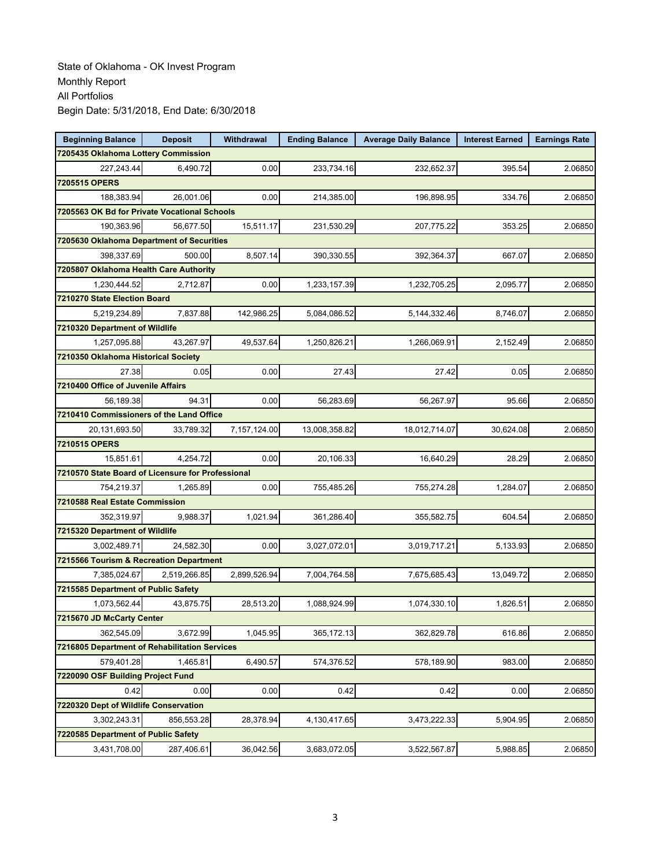| <b>Beginning Balance</b>                          | <b>Deposit</b> | Withdrawal   | <b>Ending Balance</b> | <b>Average Daily Balance</b> | <b>Interest Earned</b> | <b>Earnings Rate</b> |  |  |
|---------------------------------------------------|----------------|--------------|-----------------------|------------------------------|------------------------|----------------------|--|--|
| 7205435 Oklahoma Lottery Commission               |                |              |                       |                              |                        |                      |  |  |
| 227,243.44                                        | 6,490.72       | 0.00         | 233,734.16            | 232,652.37                   | 395.54                 | 2.06850              |  |  |
| 7205515 OPERS                                     |                |              |                       |                              |                        |                      |  |  |
| 188,383.94                                        | 26,001.06      | 0.00         | 214,385.00            | 196,898.95                   | 334.76                 | 2.06850              |  |  |
| 7205563 OK Bd for Private Vocational Schools      |                |              |                       |                              |                        |                      |  |  |
| 190,363.96                                        | 56,677.50      | 15,511.17    | 231,530.29            | 207,775.22                   | 353.25                 | 2.06850              |  |  |
| 7205630 Oklahoma Department of Securities         |                |              |                       |                              |                        |                      |  |  |
| 398,337.69                                        | 500.00         | 8.507.14     | 390,330.55            | 392,364.37                   | 667.07                 | 2.06850              |  |  |
| 7205807 Oklahoma Health Care Authority            |                |              |                       |                              |                        |                      |  |  |
| 1,230,444.52                                      | 2,712.87       | 0.00         | 1,233,157.39          | 1,232,705.25                 | 2,095.77               | 2.06850              |  |  |
| 7210270 State Election Board                      |                |              |                       |                              |                        |                      |  |  |
| 5,219,234.89                                      | 7,837.88       | 142,986.25   | 5,084,086.52          | 5,144,332.46                 | 8,746.07               | 2.06850              |  |  |
| 7210320 Department of Wildlife                    |                |              |                       |                              |                        |                      |  |  |
| 1,257,095.88                                      | 43,267.97      | 49,537.64    | 1,250,826.21          | 1,266,069.91                 | 2,152.49               | 2.06850              |  |  |
| 7210350 Oklahoma Historical Society               |                |              |                       |                              |                        |                      |  |  |
| 27.38                                             | 0.05           | 0.00         | 27.43                 | 27.42                        | 0.05                   | 2.06850              |  |  |
| 7210400 Office of Juvenile Affairs                |                |              |                       |                              |                        |                      |  |  |
| 56,189.38                                         | 94.31          | 0.00         | 56,283.69             | 56,267.97                    | 95.66                  | 2.06850              |  |  |
| 7210410 Commissioners of the Land Office          |                |              |                       |                              |                        |                      |  |  |
| 20,131,693.50                                     | 33,789.32      | 7,157,124.00 | 13,008,358.82         | 18,012,714.07                | 30,624.08              | 2.06850              |  |  |
| 7210515 OPERS                                     |                |              |                       |                              |                        |                      |  |  |
| 15,851.61                                         | 4,254.72       | 0.00         | 20,106.33             | 16,640.29                    | 28.29                  | 2.06850              |  |  |
| 7210570 State Board of Licensure for Professional |                |              |                       |                              |                        |                      |  |  |
| 754,219.37                                        | 1,265.89       | 0.00         | 755,485.26            | 755,274.28                   | 1,284.07               | 2.06850              |  |  |
| 7210588 Real Estate Commission                    |                |              |                       |                              |                        |                      |  |  |
| 352,319.97                                        | 9,988.37       | 1,021.94     | 361,286.40            | 355,582.75                   | 604.54                 | 2.06850              |  |  |
| 7215320 Department of Wildlife                    |                |              |                       |                              |                        |                      |  |  |
| 3,002,489.71                                      | 24,582.30      | 0.00         | 3,027,072.01          | 3,019,717.21                 | 5,133.93               | 2.06850              |  |  |
| 7215566 Tourism & Recreation Department           |                |              |                       |                              |                        |                      |  |  |
| 7,385,024.67                                      | 2,519,266.85   | 2,899,526.94 | 7,004,764.58          | 7,675,685.43                 | 13,049.72              | 2.06850              |  |  |
| 7215585 Department of Public Safety               |                |              |                       |                              |                        |                      |  |  |
| 1,073,562.44                                      | 43,875.75      | 28,513.20    | 1,088,924.99          | 1,074,330.10                 | 1,826.51               | 2.06850              |  |  |
| 7215670 JD McCarty Center                         |                |              |                       |                              |                        |                      |  |  |
| 362,545.09                                        | 3,672.99       | 1,045.95     | 365, 172. 13          | 362,829.78                   | 616.86                 | 2.06850              |  |  |
| 7216805 Department of Rehabilitation Services     |                |              |                       |                              |                        |                      |  |  |
| 579,401.28                                        | 1,465.81       | 6,490.57     | 574,376.52            | 578,189.90                   | 983.00                 | 2.06850              |  |  |
| 7220090 OSF Building Project Fund                 |                |              |                       |                              |                        |                      |  |  |
| 0.42                                              | 0.00           | 0.00         | 0.42                  | 0.42                         | 0.00                   | 2.06850              |  |  |
| 7220320 Dept of Wildlife Conservation             |                |              |                       |                              |                        |                      |  |  |
| 3,302,243.31                                      | 856,553.28     | 28,378.94    | 4,130,417.65          | 3,473,222.33                 | 5,904.95               | 2.06850              |  |  |
| 7220585 Department of Public Safety               |                |              |                       |                              |                        |                      |  |  |
| 3,431,708.00                                      | 287,406.61     | 36,042.56    | 3,683,072.05          | 3,522,567.87                 | 5,988.85               | 2.06850              |  |  |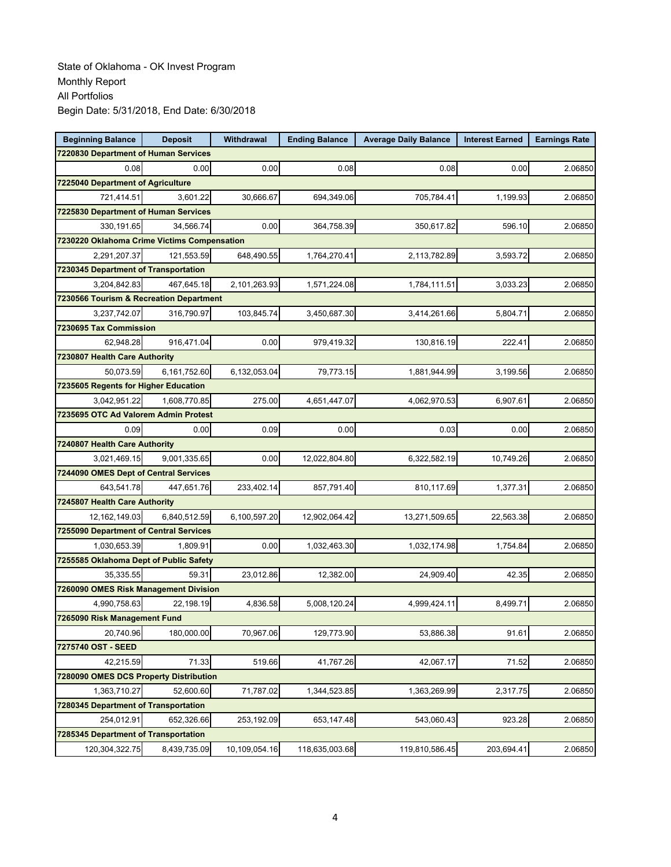| <b>Beginning Balance</b>                    | <b>Deposit</b>                    | Withdrawal    | <b>Ending Balance</b> | <b>Average Daily Balance</b> | <b>Interest Earned</b> | <b>Earnings Rate</b> |  |  |  |
|---------------------------------------------|-----------------------------------|---------------|-----------------------|------------------------------|------------------------|----------------------|--|--|--|
| 7220830 Department of Human Services        |                                   |               |                       |                              |                        |                      |  |  |  |
| 0.08                                        | 0.00                              | 0.00          | 0.08                  | 0.08                         | 0.00                   | 2.06850              |  |  |  |
|                                             | 7225040 Department of Agriculture |               |                       |                              |                        |                      |  |  |  |
| 721,414.51                                  | 3,601.22                          | 30,666.67     | 694,349.06            | 705,784.41                   | 1,199.93               | 2.06850              |  |  |  |
| 7225830 Department of Human Services        |                                   |               |                       |                              |                        |                      |  |  |  |
| 330,191.65                                  | 34,566.74                         | 0.00          | 364,758.39            | 350,617.82                   | 596.10                 | 2.06850              |  |  |  |
| 7230220 Oklahoma Crime Victims Compensation |                                   |               |                       |                              |                        |                      |  |  |  |
| 2,291,207.37                                | 121,553.59                        | 648,490.55    | 1,764,270.41          | 2,113,782.89                 | 3.593.72               | 2.06850              |  |  |  |
| 7230345 Department of Transportation        |                                   |               |                       |                              |                        |                      |  |  |  |
| 3,204,842.83                                | 467,645.18                        | 2,101,263.93  | 1,571,224.08          | 1,784,111.51                 | 3,033.23               | 2.06850              |  |  |  |
| 7230566 Tourism & Recreation Department     |                                   |               |                       |                              |                        |                      |  |  |  |
| 3,237,742.07                                | 316,790.97                        | 103,845.74    | 3,450,687.30          | 3,414,261.66                 | 5,804.71               | 2.06850              |  |  |  |
| 7230695 Tax Commission                      |                                   |               |                       |                              |                        |                      |  |  |  |
| 62,948.28                                   | 916,471.04                        | 0.00          | 979,419.32            | 130,816.19                   | 222.41                 | 2.06850              |  |  |  |
| 7230807 Health Care Authority               |                                   |               |                       |                              |                        |                      |  |  |  |
| 50,073.59                                   | 6,161,752.60                      | 6,132,053.04  | 79,773.15             | 1,881,944.99                 | 3,199.56               | 2.06850              |  |  |  |
| 7235605 Regents for Higher Education        |                                   |               |                       |                              |                        |                      |  |  |  |
| 3,042,951.22                                | 1,608,770.85                      | 275.00        | 4,651,447.07          | 4,062,970.53                 | 6,907.61               | 2.06850              |  |  |  |
| 7235695 OTC Ad Valorem Admin Protest        |                                   |               |                       |                              |                        |                      |  |  |  |
| 0.09                                        | 0.00                              | 0.09          | 0.00                  | 0.03                         | 0.00                   | 2.06850              |  |  |  |
| 7240807 Health Care Authority               |                                   |               |                       |                              |                        |                      |  |  |  |
| 3,021,469.15                                | 9,001,335.65                      | 0.00          | 12,022,804.80         | 6,322,582.19                 | 10,749.26              | 2.06850              |  |  |  |
| 7244090 OMES Dept of Central Services       |                                   |               |                       |                              |                        |                      |  |  |  |
| 643,541.78                                  | 447,651.76                        | 233,402.14    | 857,791.40            | 810,117.69                   | 1,377.31               | 2.06850              |  |  |  |
| 7245807 Health Care Authority               |                                   |               |                       |                              |                        |                      |  |  |  |
| 12,162,149.03                               | 6,840,512.59                      | 6,100,597.20  | 12,902,064.42         | 13,271,509.65                | 22,563.38              | 2.06850              |  |  |  |
| 7255090 Department of Central Services      |                                   |               |                       |                              |                        |                      |  |  |  |
| 1,030,653.39                                | 1,809.91                          | 0.00          | 1,032,463.30          | 1,032,174.98                 | 1,754.84               | 2.06850              |  |  |  |
| 7255585 Oklahoma Dept of Public Safety      |                                   |               |                       |                              |                        |                      |  |  |  |
| 35.335.55                                   | 59.31                             | 23,012.86     | 12,382.00             | 24,909.40                    | 42.35                  | 2.06850              |  |  |  |
| 7260090 OMES Risk Management Division       |                                   |               |                       |                              |                        |                      |  |  |  |
| 4,990,758.63                                | 22,198.19                         | 4,836.58      | 5,008,120.24          | 4,999,424.11                 | 8,499.71               | 2.06850              |  |  |  |
| 7265090 Risk Management Fund                |                                   |               |                       |                              |                        |                      |  |  |  |
| 20,740.96                                   | 180,000.00                        | 70,967.06     | 129,773.90            | 53,886.38                    | 91.61                  | 2.06850              |  |  |  |
| 7275740 OST - SEED                          |                                   |               |                       |                              |                        |                      |  |  |  |
| 42,215.59                                   | 71.33                             | 519.66        | 41,767.26             | 42,067.17                    | 71.52                  | 2.06850              |  |  |  |
| 7280090 OMES DCS Property Distribution      |                                   |               |                       |                              |                        |                      |  |  |  |
| 1,363,710.27                                | 52,600.60                         | 71,787.02     | 1,344,523.85          | 1,363,269.99                 | 2,317.75               | 2.06850              |  |  |  |
| 7280345 Department of Transportation        |                                   |               |                       |                              |                        |                      |  |  |  |
| 254,012.91                                  | 652,326.66                        | 253,192.09    | 653, 147.48           | 543,060.43                   | 923.28                 | 2.06850              |  |  |  |
| 7285345 Department of Transportation        |                                   |               |                       |                              |                        |                      |  |  |  |
| 120,304,322.75                              | 8,439,735.09                      | 10,109,054.16 | 118,635,003.68        | 119,810,586.45               | 203,694.41             | 2.06850              |  |  |  |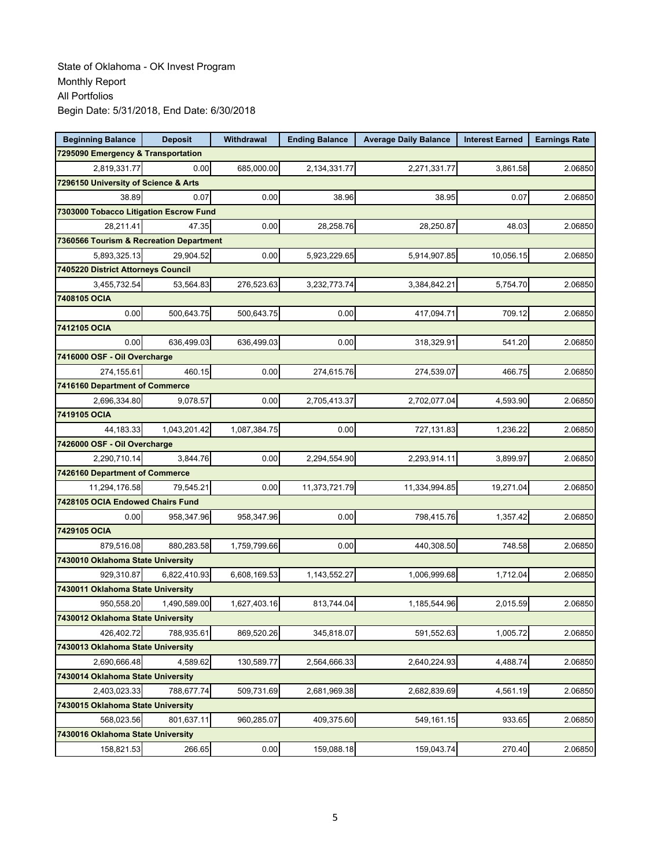| <b>Beginning Balance</b>                | <b>Deposit</b> | Withdrawal   | <b>Ending Balance</b> | <b>Average Daily Balance</b> | <b>Interest Earned</b> | <b>Earnings Rate</b> |  |  |  |
|-----------------------------------------|----------------|--------------|-----------------------|------------------------------|------------------------|----------------------|--|--|--|
| 7295090 Emergency & Transportation      |                |              |                       |                              |                        |                      |  |  |  |
| 2.819.331.77                            | 0.00           | 685,000.00   | 2,134,331.77          | 2,271,331.77                 | 3,861.58               | 2.06850              |  |  |  |
| 7296150 University of Science & Arts    |                |              |                       |                              |                        |                      |  |  |  |
| 38.89                                   | 0.07           | 0.00         | 38.96                 | 38.95                        | 0.07                   | 2.06850              |  |  |  |
| 7303000 Tobacco Litigation Escrow Fund  |                |              |                       |                              |                        |                      |  |  |  |
| 28,211.41                               | 47.35          | 0.00         | 28,258.76             | 28,250.87                    | 48.03                  | 2.06850              |  |  |  |
| 7360566 Tourism & Recreation Department |                |              |                       |                              |                        |                      |  |  |  |
| 5,893,325.13                            | 29.904.52      | 0.00         | 5,923,229.65          | 5,914,907.85                 | 10,056.15              | 2.06850              |  |  |  |
| 7405220 District Attorneys Council      |                |              |                       |                              |                        |                      |  |  |  |
| 3,455,732.54                            | 53,564.83      | 276,523.63   | 3,232,773.74          | 3,384,842.21                 | 5,754.70               | 2.06850              |  |  |  |
| 7408105 OCIA                            |                |              |                       |                              |                        |                      |  |  |  |
| 0.00                                    | 500,643.75     | 500,643.75   | 0.00                  | 417,094.71                   | 709.12                 | 2.06850              |  |  |  |
| 7412105 OCIA                            |                |              |                       |                              |                        |                      |  |  |  |
| 0.00                                    | 636,499.03     | 636,499.03   | 0.00                  | 318,329.91                   | 541.20                 | 2.06850              |  |  |  |
| 7416000 OSF - Oil Overcharge            |                |              |                       |                              |                        |                      |  |  |  |
| 274,155.61                              | 460.15         | 0.00         | 274,615.76            | 274,539.07                   | 466.75                 | 2.06850              |  |  |  |
| 7416160 Department of Commerce          |                |              |                       |                              |                        |                      |  |  |  |
| 2,696,334.80                            | 9,078.57       | 0.00         | 2,705,413.37          | 2,702,077.04                 | 4,593.90               | 2.06850              |  |  |  |
| 7419105 OCIA                            |                |              |                       |                              |                        |                      |  |  |  |
| 44,183.33                               | 1,043,201.42   | 1,087,384.75 | 0.00                  | 727,131.83                   | 1,236.22               | 2.06850              |  |  |  |
| 7426000 OSF - Oil Overcharge            |                |              |                       |                              |                        |                      |  |  |  |
| 2,290,710.14                            | 3,844.76       | 0.00         | 2,294,554.90          | 2,293,914.11                 | 3,899.97               | 2.06850              |  |  |  |
| 7426160 Department of Commerce          |                |              |                       |                              |                        |                      |  |  |  |
| 11,294,176.58                           | 79,545.21      | 0.00         | 11,373,721.79         | 11,334,994.85                | 19,271.04              | 2.06850              |  |  |  |
| 7428105 OCIA Endowed Chairs Fund        |                |              |                       |                              |                        |                      |  |  |  |
| 0.00                                    | 958,347.96     | 958,347.96   | 0.00                  | 798,415.76                   | 1,357.42               | 2.06850              |  |  |  |
| 7429105 OCIA                            |                |              |                       |                              |                        |                      |  |  |  |
| 879,516.08                              | 880,283.58     | 1,759,799.66 | 0.00                  | 440,308.50                   | 748.58                 | 2.06850              |  |  |  |
| 7430010 Oklahoma State University       |                |              |                       |                              |                        |                      |  |  |  |
| 929,310.87                              | 6,822,410.93   | 6,608,169.53 | 1,143,552.27          | 1,006,999.68                 | 1,712.04               | 2.06850              |  |  |  |
| 7430011 Oklahoma State University       |                |              |                       |                              |                        |                      |  |  |  |
| 950,558.20                              | 1,490,589.00   | 1,627,403.16 | 813,744.04            | 1,185,544.96                 | 2,015.59               | 2.06850              |  |  |  |
| 7430012 Oklahoma State University       |                |              |                       |                              |                        |                      |  |  |  |
| 426,402.72                              | 788,935.61     | 869,520.26   | 345,818.07            | 591,552.63                   | 1,005.72               | 2.06850              |  |  |  |
| 7430013 Oklahoma State University       |                |              |                       |                              |                        |                      |  |  |  |
| 2,690,666.48                            | 4,589.62       | 130,589.77   | 2,564,666.33          | 2,640,224.93                 | 4,488.74               | 2.06850              |  |  |  |
| 7430014 Oklahoma State University       |                |              |                       |                              |                        |                      |  |  |  |
| 2,403,023.33                            | 788,677.74     | 509,731.69   | 2,681,969.38          | 2,682,839.69                 | 4,561.19               | 2.06850              |  |  |  |
| 7430015 Oklahoma State University       |                |              |                       |                              |                        |                      |  |  |  |
| 568,023.56                              | 801,637.11     | 960,285.07   | 409,375.60            | 549,161.15                   | 933.65                 | 2.06850              |  |  |  |
| 7430016 Oklahoma State University       |                |              |                       |                              |                        |                      |  |  |  |
| 158,821.53                              | 266.65         | $0.00\,$     | 159,088.18            | 159,043.74                   | 270.40                 | 2.06850              |  |  |  |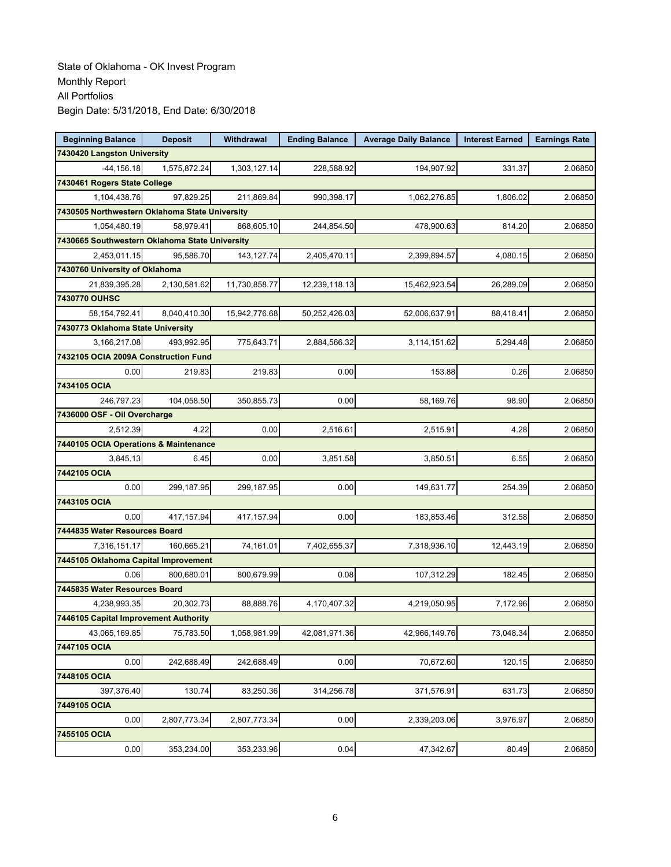| <b>Beginning Balance</b>                       | <b>Deposit</b>                        | Withdrawal    | <b>Ending Balance</b> | <b>Average Daily Balance</b> | <b>Interest Earned</b> | <b>Earnings Rate</b> |  |  |  |
|------------------------------------------------|---------------------------------------|---------------|-----------------------|------------------------------|------------------------|----------------------|--|--|--|
| 7430420 Langston University                    |                                       |               |                       |                              |                        |                      |  |  |  |
| $-44, 156.18$                                  | 1,575,872.24                          | 1,303,127.14  | 228,588.92            | 194,907.92                   | 331.37                 | 2.06850              |  |  |  |
| 7430461 Rogers State College                   |                                       |               |                       |                              |                        |                      |  |  |  |
| 1,104,438.76                                   | 97,829.25                             | 211,869.84    | 990,398.17            | 1,062,276.85                 | 1,806.02               | 2.06850              |  |  |  |
| 7430505 Northwestern Oklahoma State University |                                       |               |                       |                              |                        |                      |  |  |  |
| 1,054,480.19                                   | 58,979.41                             | 868,605.10    | 244,854.50            | 478,900.63                   | 814.20                 | 2.06850              |  |  |  |
| 7430665 Southwestern Oklahoma State University |                                       |               |                       |                              |                        |                      |  |  |  |
| 2,453,011.15                                   | 95,586.70                             | 143, 127.74   | 2,405,470.11          | 2,399,894.57                 | 4,080.15               | 2.06850              |  |  |  |
| 7430760 University of Oklahoma                 |                                       |               |                       |                              |                        |                      |  |  |  |
| 21,839,395.28                                  | 2,130,581.62                          | 11,730,858.77 | 12,239,118.13         | 15,462,923.54                | 26,289.09              | 2.06850              |  |  |  |
| 7430770 OUHSC                                  |                                       |               |                       |                              |                        |                      |  |  |  |
| 58, 154, 792.41                                | 8,040,410.30                          | 15,942,776.68 | 50,252,426.03         | 52,006,637.91                | 88,418.41              | 2.06850              |  |  |  |
| 7430773 Oklahoma State University              |                                       |               |                       |                              |                        |                      |  |  |  |
| 3,166,217.08                                   | 493,992.95                            | 775,643.71    | 2,884,566.32          | 3,114,151.62                 | 5,294.48               | 2.06850              |  |  |  |
| 7432105 OCIA 2009A Construction Fund           |                                       |               |                       |                              |                        |                      |  |  |  |
| 0.00                                           | 219.83                                | 219.83        | 0.00                  | 153.88                       | 0.26                   | 2.06850              |  |  |  |
| 7434105 OCIA                                   |                                       |               |                       |                              |                        |                      |  |  |  |
| 246,797.23                                     | 104,058.50                            | 350,855.73    | 0.00                  | 58,169.76                    | 98.90                  | 2.06850              |  |  |  |
|                                                | 7436000 OSF - Oil Overcharge          |               |                       |                              |                        |                      |  |  |  |
| 2,512.39                                       | 4.22                                  | 0.00          | 2,516.61              | 2,515.91                     | 4.28                   | 2.06850              |  |  |  |
|                                                | 7440105 OCIA Operations & Maintenance |               |                       |                              |                        |                      |  |  |  |
| 3,845.13                                       | 6.45                                  | 0.00          | 3,851.58              | 3,850.51                     | 6.55                   | 2.06850              |  |  |  |
| 7442105 OCIA                                   |                                       |               |                       |                              |                        |                      |  |  |  |
| 0.00                                           | 299,187.95                            | 299,187.95    | 0.00                  | 149,631.77                   | 254.39                 | 2.06850              |  |  |  |
| 7443105 OCIA                                   |                                       |               |                       |                              |                        |                      |  |  |  |
| 0.00                                           | 417,157.94                            | 417, 157.94   | 0.00                  | 183,853.46                   | 312.58                 | 2.06850              |  |  |  |
| 7444835 Water Resources Board                  |                                       |               |                       |                              |                        |                      |  |  |  |
| 7,316,151.17                                   | 160,665.21                            | 74,161.01     | 7,402,655.37          | 7,318,936.10                 | 12,443.19              | 2.06850              |  |  |  |
| 7445105 Oklahoma Capital Improvement           |                                       |               |                       |                              |                        |                      |  |  |  |
| 0.06                                           | 800,680.01                            | 800,679.99    | 0.08                  | 107,312.29                   | 182.45                 | 2.06850              |  |  |  |
| 7445835 Water Resources Board                  |                                       |               |                       |                              |                        |                      |  |  |  |
| 4,238,993.35                                   | 20,302.73                             | 88,888.76     | 4,170,407.32          | 4,219,050.95                 | 7,172.96               | 2.06850              |  |  |  |
| 7446105 Capital Improvement Authority          |                                       |               |                       |                              |                        |                      |  |  |  |
| 43,065,169.85                                  | 75,783.50                             | 1,058,981.99  | 42,081,971.36         | 42,966,149.76                | 73,048.34              | 2.06850              |  |  |  |
| 7447105 OCIA                                   |                                       |               |                       |                              |                        |                      |  |  |  |
| 0.00                                           | 242,688.49                            | 242,688.49    | 0.00                  | 70,672.60                    | 120.15                 | 2.06850              |  |  |  |
| 7448105 OCIA                                   |                                       |               |                       |                              |                        |                      |  |  |  |
| 397,376.40                                     | 130.74                                | 83,250.36     | 314,256.78            | 371,576.91                   | 631.73                 | 2.06850              |  |  |  |
| 7449105 OCIA                                   |                                       |               |                       |                              |                        |                      |  |  |  |
| 0.00                                           | 2,807,773.34                          | 2,807,773.34  | 0.00                  | 2,339,203.06                 | 3,976.97               | 2.06850              |  |  |  |
| 7455105 OCIA                                   |                                       |               |                       |                              |                        |                      |  |  |  |
| 0.00                                           | 353,234.00                            | 353,233.96    | 0.04                  | 47,342.67                    | 80.49                  | 2.06850              |  |  |  |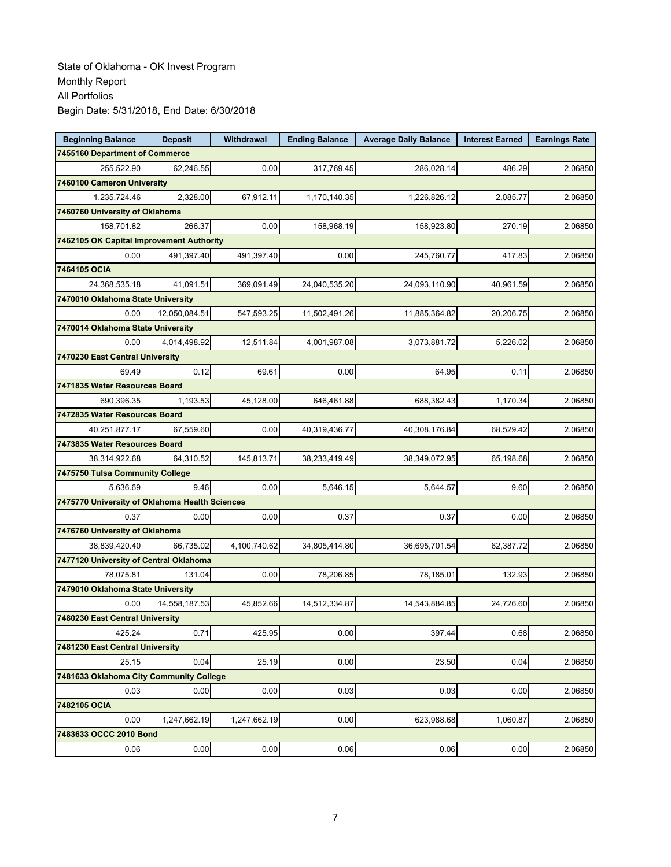| <b>Beginning Balance</b>                       | <b>Deposit</b> | Withdrawal   | <b>Ending Balance</b> | <b>Average Daily Balance</b> | <b>Interest Earned</b> | <b>Earnings Rate</b> |
|------------------------------------------------|----------------|--------------|-----------------------|------------------------------|------------------------|----------------------|
| 7455160 Department of Commerce                 |                |              |                       |                              |                        |                      |
| 255,522.90                                     | 62,246.55      | 0.00         | 317,769.45            | 286,028.14                   | 486.29                 | 2.06850              |
| 7460100 Cameron University                     |                |              |                       |                              |                        |                      |
| 1,235,724.46                                   | 2,328.00       | 67,912.11    | 1,170,140.35          | 1,226,826.12                 | 2,085.77               | 2.06850              |
| 7460760 University of Oklahoma                 |                |              |                       |                              |                        |                      |
| 158,701.82                                     | 266.37         | 0.00         | 158,968.19            | 158,923.80                   | 270.19                 | 2.06850              |
| 7462105 OK Capital Improvement Authority       |                |              |                       |                              |                        |                      |
| 0.00                                           | 491,397.40     | 491,397.40   | 0.00                  | 245,760.77                   | 417.83                 | 2.06850              |
| 7464105 OCIA                                   |                |              |                       |                              |                        |                      |
| 24,368,535.18                                  | 41,091.51      | 369,091.49   | 24,040,535.20         | 24,093,110.90                | 40,961.59              | 2.06850              |
| 7470010 Oklahoma State University              |                |              |                       |                              |                        |                      |
| 0.00                                           | 12,050,084.51  | 547,593.25   | 11,502,491.26         | 11,885,364.82                | 20,206.75              | 2.06850              |
| 7470014 Oklahoma State University              |                |              |                       |                              |                        |                      |
| 0.00                                           | 4,014,498.92   | 12,511.84    | 4,001,987.08          | 3,073,881.72                 | 5,226.02               | 2.06850              |
| 7470230 East Central University                |                |              |                       |                              |                        |                      |
| 69.49                                          | 0.12           | 69.61        | 0.00                  | 64.95                        | 0.11                   | 2.06850              |
| 7471835 Water Resources Board                  |                |              |                       |                              |                        |                      |
| 690,396.35                                     | 1,193.53       | 45,128.00    | 646,461.88            | 688,382.43                   | 1,170.34               | 2.06850              |
| 7472835 Water Resources Board                  |                |              |                       |                              |                        |                      |
| 40,251,877.17                                  | 67,559.60      | 0.00         | 40,319,436.77         | 40,308,176.84                | 68,529.42              | 2.06850              |
| 7473835 Water Resources Board                  |                |              |                       |                              |                        |                      |
| 38,314,922.68                                  | 64,310.52      | 145,813.71   | 38,233,419.49         | 38,349,072.95                | 65,198.68              | 2.06850              |
| 7475750 Tulsa Community College                |                |              |                       |                              |                        |                      |
| 5,636.69                                       | 9.46           | 0.00         | 5,646.15              | 5,644.57                     | 9.60                   | 2.06850              |
| 7475770 University of Oklahoma Health Sciences |                |              |                       |                              |                        |                      |
| 0.37                                           | 0.00           | 0.00         | 0.37                  | 0.37                         | 0.00                   | 2.06850              |
| 7476760 University of Oklahoma                 |                |              |                       |                              |                        |                      |
| 38,839,420.40                                  | 66,735.02      | 4,100,740.62 | 34,805,414.80         | 36,695,701.54                | 62,387.72              | 2.06850              |
| 7477120 University of Central Oklahoma         |                |              |                       |                              |                        |                      |
| 78,075.81                                      | 131.04         | 0.00         | 78,206.85             | 78,185.01                    | 132.93                 | 2.06850              |
| 7479010 Oklahoma State University              |                |              |                       |                              |                        |                      |
| 0.00<br>7480230 East Central University        | 14,558,187.53  | 45,852.66    | 14,512,334.87         | 14.543.884.85                | 24,726.60              | 2.06850              |
| 425.24                                         | 0.71           | 425.95       | 0.00                  | 397.44                       | 0.68                   | 2.06850              |
| 7481230 East Central University                |                |              |                       |                              |                        |                      |
| 25.15                                          | 0.04           | 25.19        | 0.00                  | 23.50                        | 0.04                   | 2.06850              |
| 7481633 Oklahoma City Community College        |                |              |                       |                              |                        |                      |
| 0.03                                           | 0.00           | 0.00         | 0.03                  | 0.03                         | 0.00                   | 2.06850              |
| 7482105 OCIA                                   |                |              |                       |                              |                        |                      |
| 0.00                                           | 1,247,662.19   | 1,247,662.19 | 0.00                  | 623,988.68                   | 1,060.87               | 2.06850              |
| 7483633 OCCC 2010 Bond                         |                |              |                       |                              |                        |                      |
| 0.06                                           | 0.00           | 0.00         | 0.06                  | 0.06                         | 0.00                   | 2.06850              |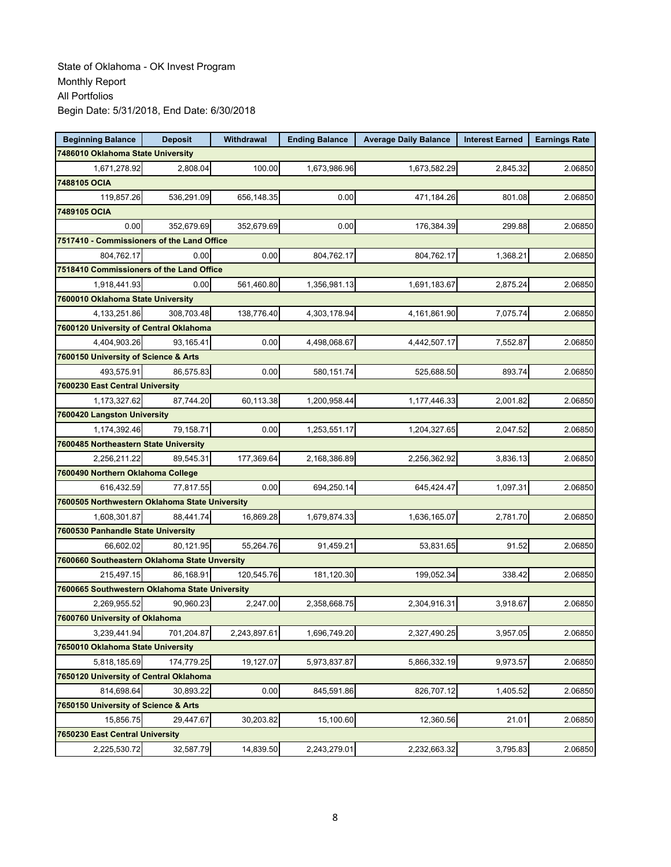| <b>Beginning Balance</b>                       | <b>Deposit</b> | Withdrawal   | <b>Ending Balance</b> | <b>Average Daily Balance</b> | <b>Interest Earned</b> | <b>Earnings Rate</b> |
|------------------------------------------------|----------------|--------------|-----------------------|------------------------------|------------------------|----------------------|
| 7486010 Oklahoma State University              |                |              |                       |                              |                        |                      |
| 1,671,278.92                                   | 2,808.04       | 100.00       | 1,673,986.96          | 1,673,582.29                 | 2,845.32               | 2.06850              |
| 7488105 OCIA                                   |                |              |                       |                              |                        |                      |
| 119,857.26                                     | 536,291.09     | 656,148.35   | 0.00                  | 471,184.26                   | 801.08                 | 2.06850              |
| 7489105 OCIA                                   |                |              |                       |                              |                        |                      |
| 0.00                                           | 352,679.69     | 352,679.69   | 0.00                  | 176,384.39                   | 299.88                 | 2.06850              |
| 7517410 - Commissioners of the Land Office     |                |              |                       |                              |                        |                      |
| 804,762.17                                     | 0.00           | 0.00         | 804,762.17            | 804,762.17                   | 1,368.21               | 2.06850              |
| 7518410 Commissioners of the Land Office       |                |              |                       |                              |                        |                      |
| 1,918,441.93                                   | 0.00           | 561,460.80   | 1,356,981.13          | 1,691,183.67                 | 2,875.24               | 2.06850              |
| 7600010 Oklahoma State University              |                |              |                       |                              |                        |                      |
| 4,133,251.86                                   | 308,703.48     | 138,776.40   | 4,303,178.94          | 4,161,861.90                 | 7,075.74               | 2.06850              |
| 7600120 University of Central Oklahoma         |                |              |                       |                              |                        |                      |
| 4,404,903.26                                   | 93,165.41      | 0.00         | 4,498,068.67          | 4,442,507.17                 | 7,552.87               | 2.06850              |
| 7600150 University of Science & Arts           |                |              |                       |                              |                        |                      |
| 493,575.91                                     | 86,575.83      | 0.00         | 580,151.74            | 525,688.50                   | 893.74                 | 2.06850              |
| 7600230 East Central University                |                |              |                       |                              |                        |                      |
| 1,173,327.62                                   | 87,744.20      | 60,113.38    | 1,200,958.44          | 1,177,446.33                 | 2,001.82               | 2.06850              |
| 7600420 Langston University                    |                |              |                       |                              |                        |                      |
| 1,174,392.46                                   | 79.158.71      | 0.00         | 1,253,551.17          | 1,204,327.65                 | 2,047.52               | 2.06850              |
| 7600485 Northeastern State University          |                |              |                       |                              |                        |                      |
| 2,256,211.22                                   | 89,545.31      | 177,369.64   | 2,168,386.89          | 2,256,362.92                 | 3,836.13               | 2.06850              |
| 7600490 Northern Oklahoma College              |                |              |                       |                              |                        |                      |
| 616,432.59                                     | 77,817.55      | 0.00         | 694,250.14            | 645,424.47                   | 1,097.31               | 2.06850              |
| 7600505 Northwestern Oklahoma State University |                |              |                       |                              |                        |                      |
| 1,608,301.87                                   | 88,441.74      | 16,869.28    | 1,679,874.33          | 1,636,165.07                 | 2,781.70               | 2.06850              |
| 7600530 Panhandle State University             |                |              |                       |                              |                        |                      |
| 66,602.02                                      | 80,121.95      | 55,264.76    | 91,459.21             | 53,831.65                    | 91.52                  | 2.06850              |
| 7600660 Southeastern Oklahoma State Unversity  |                |              |                       |                              |                        |                      |
| 215,497.15                                     | 86,168.91      | 120,545.76   | 181,120.30            | 199,052.34                   | 338.42                 | 2.06850              |
| 7600665 Southwestern Oklahoma State University |                |              |                       |                              |                        |                      |
| 2,269,955.52                                   | 90,960.23      | 2,247.00     | 2,358,668.75          | 2,304,916.31                 | 3,918.67               | 2.06850              |
| 7600760 University of Oklahoma                 |                |              |                       |                              |                        |                      |
| 3,239,441.94                                   | 701,204.87     | 2,243,897.61 | 1,696,749.20          | 2,327,490.25                 | 3,957.05               | 2.06850              |
| 7650010 Oklahoma State University              |                |              |                       |                              |                        |                      |
| 5,818,185.69                                   | 174,779.25     | 19,127.07    | 5,973,837.87          | 5,866,332.19                 | 9,973.57               | 2.06850              |
| 7650120 University of Central Oklahoma         |                |              |                       |                              |                        |                      |
| 814,698.64                                     | 30.893.22      | 0.00         | 845,591.86            | 826,707.12                   | 1,405.52               | 2.06850              |
| 7650150 University of Science & Arts           |                |              |                       |                              |                        |                      |
| 15,856.75                                      | 29,447.67      | 30,203.82    | 15,100.60             | 12,360.56                    | 21.01                  | 2.06850              |
| 7650230 East Central University                |                |              |                       |                              |                        |                      |
| 2,225,530.72                                   | 32,587.79      | 14,839.50    | 2,243,279.01          | 2,232,663.32                 | 3,795.83               | 2.06850              |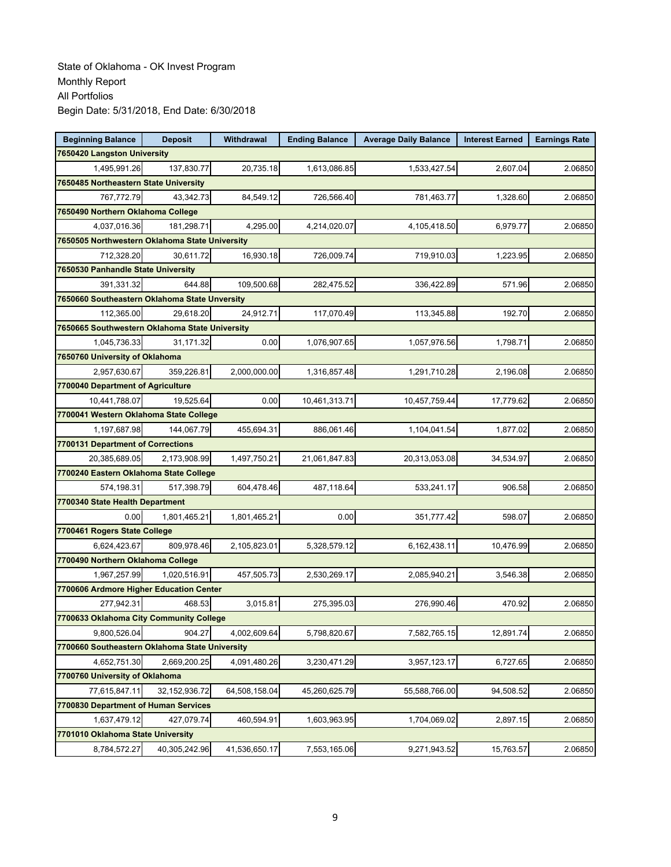| <b>Beginning Balance</b>                       | <b>Deposit</b>   | Withdrawal    | <b>Ending Balance</b> | <b>Average Daily Balance</b> | <b>Interest Earned</b> | <b>Earnings Rate</b> |
|------------------------------------------------|------------------|---------------|-----------------------|------------------------------|------------------------|----------------------|
| 7650420 Langston University                    |                  |               |                       |                              |                        |                      |
| 1,495,991.26                                   | 137,830.77       | 20,735.18     | 1,613,086.85          | 1,533,427.54                 | 2,607.04               | 2.06850              |
| 7650485 Northeastern State University          |                  |               |                       |                              |                        |                      |
| 767,772.79                                     | 43,342.73        | 84,549.12     | 726,566.40            | 781,463.77                   | 1,328.60               | 2.06850              |
| 7650490 Northern Oklahoma College              |                  |               |                       |                              |                        |                      |
| 4,037,016.36                                   | 181,298.71       | 4,295.00      | 4,214,020.07          | 4,105,418.50                 | 6,979.77               | 2.06850              |
| 7650505 Northwestern Oklahoma State University |                  |               |                       |                              |                        |                      |
| 712,328.20                                     | 30,611.72        | 16,930.18     | 726,009.74            | 719,910.03                   | 1,223.95               | 2.06850              |
| 7650530 Panhandle State University             |                  |               |                       |                              |                        |                      |
| 391,331.32                                     | 644.88           | 109,500.68    | 282,475.52            | 336,422.89                   | 571.96                 | 2.06850              |
| 7650660 Southeastern Oklahoma State Unversity  |                  |               |                       |                              |                        |                      |
| 112,365.00                                     | 29,618.20        | 24,912.71     | 117,070.49            | 113,345.88                   | 192.70                 | 2.06850              |
| 7650665 Southwestern Oklahoma State University |                  |               |                       |                              |                        |                      |
| 1,045,736.33                                   | 31,171.32        | 0.00          | 1,076,907.65          | 1,057,976.56                 | 1,798.71               | 2.06850              |
| 7650760 University of Oklahoma                 |                  |               |                       |                              |                        |                      |
| 2,957,630.67                                   | 359,226.81       | 2,000,000.00  | 1,316,857.48          | 1,291,710.28                 | 2,196.08               | 2.06850              |
| 7700040 Department of Agriculture              |                  |               |                       |                              |                        |                      |
| 10,441,788.07                                  | 19,525.64        | 0.00          | 10,461,313.71         | 10,457,759.44                | 17,779.62              | 2.06850              |
| 7700041 Western Oklahoma State College         |                  |               |                       |                              |                        |                      |
| 1,197,687.98                                   | 144,067.79       | 455,694.31    | 886,061.46            | 1,104,041.54                 | 1,877.02               | 2.06850              |
| 7700131 Department of Corrections              |                  |               |                       |                              |                        |                      |
| 20,385,689.05                                  | 2,173,908.99     | 1,497,750.21  | 21,061,847.83         | 20,313,053.08                | 34,534.97              | 2.06850              |
| 7700240 Eastern Oklahoma State College         |                  |               |                       |                              |                        |                      |
| 574,198.31                                     | 517,398.79       | 604,478.46    | 487,118.64            | 533,241.17                   | 906.58                 | 2.06850              |
| 7700340 State Health Department                |                  |               |                       |                              |                        |                      |
| 0.00                                           | 1,801,465.21     | 1,801,465.21  | 0.00                  | 351,777.42                   | 598.07                 | 2.06850              |
| 7700461 Rogers State College                   |                  |               |                       |                              |                        |                      |
| 6,624,423.67                                   | 809,978.46       | 2,105,823.01  | 5,328,579.12          | 6,162,438.11                 | 10,476.99              | 2.06850              |
| 7700490 Northern Oklahoma College              |                  |               |                       |                              |                        |                      |
| 1,967,257.99                                   | 1,020,516.91     | 457,505.73    | 2,530,269.17          | 2,085,940.21                 | 3,546.38               | 2.06850              |
| 7700606 Ardmore Higher Education Center        |                  |               |                       |                              |                        |                      |
| 277,942.31                                     | 468.53           | 3,015.81      | 275,395.03            | 276,990.46                   | 470.92                 | 2.06850              |
| 7700633 Oklahoma City Community College        |                  |               |                       |                              |                        |                      |
| 9,800,526.04                                   | 904.27           | 4,002,609.64  | 5,798,820.67          | 7,582,765.15                 | 12,891.74              | 2.06850              |
| 7700660 Southeastern Oklahoma State University |                  |               |                       |                              |                        |                      |
| 4,652,751.30                                   | 2,669,200.25     | 4,091,480.26  | 3,230,471.29          | 3,957,123.17                 | 6,727.65               | 2.06850              |
| 7700760 University of Oklahoma                 |                  |               |                       |                              |                        |                      |
| 77,615,847.11                                  | 32, 152, 936. 72 | 64,508,158.04 | 45,260,625.79         | 55,588,766.00                | 94,508.52              | 2.06850              |
| 7700830 Department of Human Services           |                  |               |                       |                              |                        |                      |
| 1,637,479.12                                   | 427,079.74       | 460,594.91    | 1,603,963.95          | 1,704,069.02                 | 2,897.15               | 2.06850              |
| 7701010 Oklahoma State University              |                  |               |                       |                              |                        |                      |
| 8,784,572.27                                   | 40,305,242.96    | 41,536,650.17 | 7,553,165.06          | 9,271,943.52                 | 15,763.57              | 2.06850              |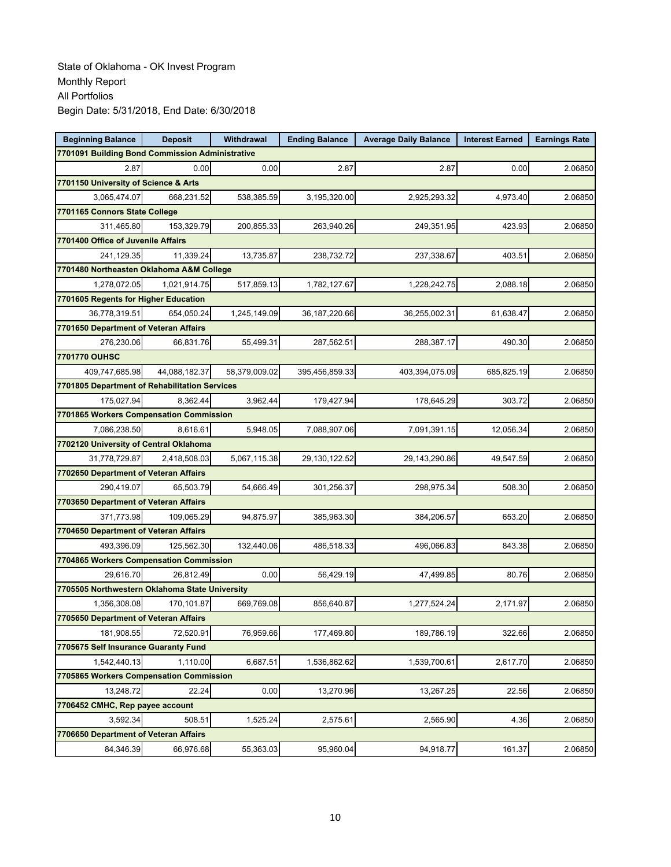| <b>Beginning Balance</b>                        | <b>Deposit</b> | Withdrawal    | <b>Ending Balance</b> | <b>Average Daily Balance</b> | <b>Interest Earned</b> | <b>Earnings Rate</b> |  |  |  |
|-------------------------------------------------|----------------|---------------|-----------------------|------------------------------|------------------------|----------------------|--|--|--|
| 7701091 Building Bond Commission Administrative |                |               |                       |                              |                        |                      |  |  |  |
| 2.87                                            | 0.00           | 0.00          | 2.87                  | 2.87                         | 0.00                   | 2.06850              |  |  |  |
| 7701150 University of Science & Arts            |                |               |                       |                              |                        |                      |  |  |  |
| 3,065,474.07                                    | 668,231.52     | 538,385.59    | 3,195,320.00          | 2,925,293.32                 | 4,973.40               | 2.06850              |  |  |  |
| 7701165 Connors State College                   |                |               |                       |                              |                        |                      |  |  |  |
| 311,465.80                                      | 153,329.79     | 200,855.33    | 263,940.26            | 249,351.95                   | 423.93                 | 2.06850              |  |  |  |
| 7701400 Office of Juvenile Affairs              |                |               |                       |                              |                        |                      |  |  |  |
| 241,129.35                                      | 11.339.24      | 13,735.87     | 238,732.72            | 237,338.67                   | 403.51                 | 2.06850              |  |  |  |
| 7701480 Northeasten Oklahoma A&M College        |                |               |                       |                              |                        |                      |  |  |  |
| 1,278,072.05                                    | 1,021,914.75   | 517,859.13    | 1,782,127.67          | 1,228,242.75                 | 2,088.18               | 2.06850              |  |  |  |
| 7701605 Regents for Higher Education            |                |               |                       |                              |                        |                      |  |  |  |
| 36,778,319.51                                   | 654,050.24     | 1,245,149.09  | 36, 187, 220.66       | 36,255,002.31                | 61,638.47              | 2.06850              |  |  |  |
| 7701650 Department of Veteran Affairs           |                |               |                       |                              |                        |                      |  |  |  |
| 276,230.06                                      | 66,831.76      | 55,499.31     | 287,562.51            | 288,387.17                   | 490.30                 | 2.06850              |  |  |  |
| 7701770 OUHSC                                   |                |               |                       |                              |                        |                      |  |  |  |
| 409,747,685.98                                  | 44,088,182.37  | 58,379,009.02 | 395,456,859.33        | 403,394,075.09               | 685,825.19             | 2.06850              |  |  |  |
| 7701805 Department of Rehabilitation Services   |                |               |                       |                              |                        |                      |  |  |  |
| 175,027.94                                      | 8,362.44       | 3,962.44      | 179,427.94            | 178,645.29                   | 303.72                 | 2.06850              |  |  |  |
| 7701865 Workers Compensation Commission         |                |               |                       |                              |                        |                      |  |  |  |
| 7,086,238.50                                    | 8,616.61       | 5,948.05      | 7,088,907.06          | 7,091,391.15                 | 12,056.34              | 2.06850              |  |  |  |
| 7702120 University of Central Oklahoma          |                |               |                       |                              |                        |                      |  |  |  |
| 31,778,729.87                                   | 2,418,508.03   | 5,067,115.38  | 29,130,122.52         | 29,143,290.86                | 49,547.59              | 2.06850              |  |  |  |
| 7702650 Department of Veteran Affairs           |                |               |                       |                              |                        |                      |  |  |  |
| 290,419.07                                      | 65,503.79      | 54,666.49     | 301,256.37            | 298,975.34                   | 508.30                 | 2.06850              |  |  |  |
| 7703650 Department of Veteran Affairs           |                |               |                       |                              |                        |                      |  |  |  |
| 371,773.98                                      | 109,065.29     | 94,875.97     | 385,963.30            | 384,206.57                   | 653.20                 | 2.06850              |  |  |  |
| 7704650 Department of Veteran Affairs           |                |               |                       |                              |                        |                      |  |  |  |
| 493,396.09                                      | 125,562.30     | 132,440.06    | 486,518.33            | 496,066.83                   | 843.38                 | 2.06850              |  |  |  |
| 7704865 Workers Compensation Commission         |                |               |                       |                              |                        |                      |  |  |  |
| 29,616.70                                       | 26,812.49      | 0.00          | 56,429.19             | 47,499.85                    | 80.76                  | 2.06850              |  |  |  |
| 7705505 Northwestern Oklahoma State University  |                |               |                       |                              |                        |                      |  |  |  |
| 1.356.308.08                                    | 170.101.87     | 669,769.08    | 856,640.87            | 1,277,524.24                 | 2,171.97               | 2.06850              |  |  |  |
| 7705650 Department of Veteran Affairs           |                |               |                       |                              |                        |                      |  |  |  |
| 181,908.55                                      | 72,520.91      | 76,959.66     | 177,469.80            | 189,786.19                   | 322.66                 | 2.06850              |  |  |  |
| 7705675 Self Insurance Guaranty Fund            |                |               |                       |                              |                        |                      |  |  |  |
| 1,542,440.13                                    | 1,110.00       | 6,687.51      | 1,536,862.62          | 1,539,700.61                 | 2,617.70               | 2.06850              |  |  |  |
| 7705865 Workers Compensation Commission         |                |               |                       |                              |                        |                      |  |  |  |
| 13,248.72                                       | 22.24          | 0.00          | 13,270.96             | 13,267.25                    | 22.56                  | 2.06850              |  |  |  |
| 7706452 CMHC, Rep payee account                 |                |               |                       |                              |                        |                      |  |  |  |
| 3,592.34                                        | 508.51         | 1,525.24      | 2,575.61              | 2,565.90                     | 4.36                   | 2.06850              |  |  |  |
| 7706650 Department of Veteran Affairs           |                |               |                       |                              |                        |                      |  |  |  |
| 84,346.39                                       | 66,976.68      | 55,363.03     | 95,960.04             | 94,918.77                    | 161.37                 | 2.06850              |  |  |  |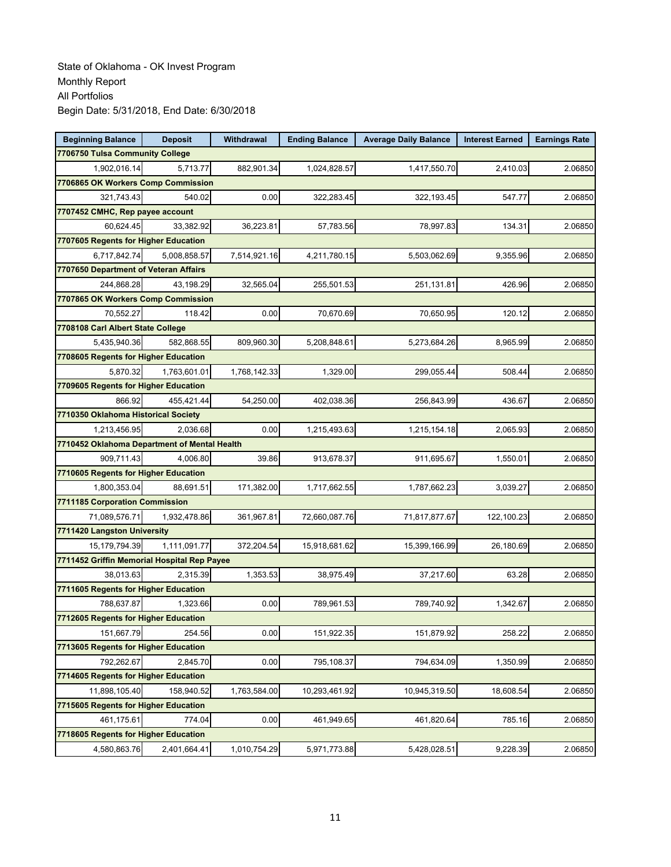| <b>Beginning Balance</b>                    | <b>Deposit</b>                               | Withdrawal   | <b>Ending Balance</b> | <b>Average Daily Balance</b> | <b>Interest Earned</b> | <b>Earnings Rate</b> |  |  |
|---------------------------------------------|----------------------------------------------|--------------|-----------------------|------------------------------|------------------------|----------------------|--|--|
| 7706750 Tulsa Community College             |                                              |              |                       |                              |                        |                      |  |  |
| 1,902,016.14                                | 5.713.77                                     | 882,901.34   | 1,024,828.57          | 1,417,550.70                 | 2,410.03               | 2.06850              |  |  |
| 7706865 OK Workers Comp Commission          |                                              |              |                       |                              |                        |                      |  |  |
| 321,743.43                                  | 540.02                                       | 0.00         | 322,283.45            | 322,193.45                   | 547.77                 | 2.06850              |  |  |
| 7707452 CMHC, Rep payee account             |                                              |              |                       |                              |                        |                      |  |  |
| 60,624.45                                   | 33,382.92                                    | 36,223.81    | 57,783.56             | 78,997.83                    | 134.31                 | 2.06850              |  |  |
| 7707605 Regents for Higher Education        |                                              |              |                       |                              |                        |                      |  |  |
| 6,717,842.74                                | 5,008,858.57                                 | 7,514,921.16 | 4,211,780.15          | 5,503,062.69                 | 9,355.96               | 2.06850              |  |  |
| 7707650 Department of Veteran Affairs       |                                              |              |                       |                              |                        |                      |  |  |
| 244,868.28                                  | 43,198.29                                    | 32,565.04    | 255,501.53            | 251,131.81                   | 426.96                 | 2.06850              |  |  |
| 7707865 OK Workers Comp Commission          |                                              |              |                       |                              |                        |                      |  |  |
| 70,552.27                                   | 118.42                                       | 0.00         | 70,670.69             | 70,650.95                    | 120.12                 | 2.06850              |  |  |
| 7708108 Carl Albert State College           |                                              |              |                       |                              |                        |                      |  |  |
| 5,435,940.36                                | 582,868.55                                   | 809,960.30   | 5,208,848.61          | 5,273,684.26                 | 8,965.99               | 2.06850              |  |  |
| 7708605 Regents for Higher Education        |                                              |              |                       |                              |                        |                      |  |  |
| 5,870.32                                    | 1,763,601.01                                 | 1,768,142.33 | 1,329.00              | 299,055.44                   | 508.44                 | 2.06850              |  |  |
| 7709605 Regents for Higher Education        |                                              |              |                       |                              |                        |                      |  |  |
| 866.92                                      | 455.421.44                                   | 54,250.00    | 402,038.36            | 256,843.99                   | 436.67                 | 2.06850              |  |  |
| 7710350 Oklahoma Historical Society         |                                              |              |                       |                              |                        |                      |  |  |
| 1.213.456.95                                | 2,036.68                                     | 0.00         | 1,215,493.63          | 1,215,154.18                 | 2,065.93               | 2.06850              |  |  |
|                                             | 7710452 Oklahoma Department of Mental Health |              |                       |                              |                        |                      |  |  |
| 909,711.43                                  | 4,006.80                                     | 39.86        | 913,678.37            | 911,695.67                   | 1,550.01               | 2.06850              |  |  |
| 7710605 Regents for Higher Education        |                                              |              |                       |                              |                        |                      |  |  |
| 1,800,353.04                                | 88,691.51                                    | 171,382.00   | 1,717,662.55          | 1,787,662.23                 | 3,039.27               | 2.06850              |  |  |
| 7711185 Corporation Commission              |                                              |              |                       |                              |                        |                      |  |  |
| 71,089,576.71                               | 1,932,478.86                                 | 361,967.81   | 72,660,087.76         | 71,817,877.67                | 122,100.23             | 2.06850              |  |  |
| 7711420 Langston University                 |                                              |              |                       |                              |                        |                      |  |  |
| 15, 179, 794. 39                            | 1,111,091.77                                 | 372,204.54   | 15,918,681.62         | 15,399,166.99                | 26,180.69              | 2.06850              |  |  |
| 7711452 Griffin Memorial Hospital Rep Payee |                                              |              |                       |                              |                        |                      |  |  |
| 38,013.63                                   | 2,315.39                                     | 1,353.53     | 38,975.49             | 37,217.60                    | 63.28                  | 2.06850              |  |  |
| 7711605 Regents for Higher Education        |                                              |              |                       |                              |                        |                      |  |  |
| 788,637.87                                  | 1.323.66                                     | 0.00         | 789,961.53            | 789,740.92                   | 1,342.67               | 2.06850              |  |  |
| 7712605 Regents for Higher Education        |                                              |              |                       |                              |                        |                      |  |  |
| 151,667.79                                  | 254.56                                       | 0.00         | 151,922.35            | 151,879.92                   | 258.22                 | 2.06850              |  |  |
| 7713605 Regents for Higher Education        |                                              |              |                       |                              |                        |                      |  |  |
| 792,262.67                                  | 2,845.70                                     | 0.00         | 795,108.37            | 794,634.09                   | 1,350.99               | 2.06850              |  |  |
| 7714605 Regents for Higher Education        |                                              |              |                       |                              |                        |                      |  |  |
| 11,898,105.40                               | 158,940.52                                   | 1,763,584.00 | 10,293,461.92         | 10,945,319.50                | 18,608.54              | 2.06850              |  |  |
| 7715605 Regents for Higher Education        |                                              |              |                       |                              |                        |                      |  |  |
| 461,175.61                                  | 774.04                                       | 0.00         | 461,949.65            | 461,820.64                   | 785.16                 | 2.06850              |  |  |
| 7718605 Regents for Higher Education        |                                              |              |                       |                              |                        |                      |  |  |
| 4,580,863.76                                | 2,401,664.41                                 | 1,010,754.29 | 5,971,773.88          | 5,428,028.51                 | 9,228.39               | 2.06850              |  |  |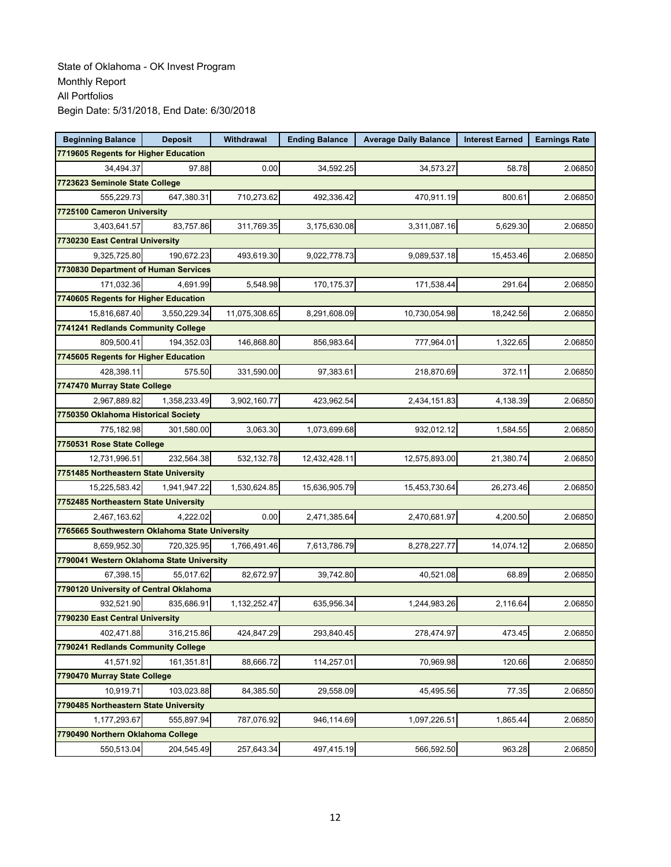| <b>Beginning Balance</b>                       | <b>Deposit</b>             | Withdrawal    | <b>Ending Balance</b> | <b>Average Daily Balance</b> | <b>Interest Earned</b> | <b>Earnings Rate</b> |  |  |  |
|------------------------------------------------|----------------------------|---------------|-----------------------|------------------------------|------------------------|----------------------|--|--|--|
| 7719605 Regents for Higher Education           |                            |               |                       |                              |                        |                      |  |  |  |
| 34,494.37                                      | 97.88                      | 0.00          | 34,592.25             | 34,573.27                    | 58.78                  | 2.06850              |  |  |  |
| 7723623 Seminole State College                 |                            |               |                       |                              |                        |                      |  |  |  |
| 555,229.73                                     | 647,380.31                 | 710,273.62    | 492,336.42            | 470,911.19                   | 800.61                 | 2.06850              |  |  |  |
| 7725100 Cameron University                     |                            |               |                       |                              |                        |                      |  |  |  |
| 3,403,641.57                                   | 83,757.86                  | 311,769.35    | 3,175,630.08          | 3,311,087.16                 | 5,629.30               | 2.06850              |  |  |  |
| 7730230 East Central University                |                            |               |                       |                              |                        |                      |  |  |  |
| 9,325,725.80                                   | 190,672.23                 | 493,619.30    | 9,022,778.73          | 9,089,537.18                 | 15.453.46              | 2.06850              |  |  |  |
| 7730830 Department of Human Services           |                            |               |                       |                              |                        |                      |  |  |  |
| 171,032.36                                     | 4,691.99                   | 5,548.98      | 170,175.37            | 171,538.44                   | 291.64                 | 2.06850              |  |  |  |
| 7740605 Regents for Higher Education           |                            |               |                       |                              |                        |                      |  |  |  |
| 15,816,687.40                                  | 3,550,229.34               | 11,075,308.65 | 8,291,608.09          | 10,730,054.98                | 18,242.56              | 2.06850              |  |  |  |
| 7741241 Redlands Community College             |                            |               |                       |                              |                        |                      |  |  |  |
| 809,500.41                                     | 194,352.03                 | 146,868.80    | 856,983.64            | 777,964.01                   | 1,322.65               | 2.06850              |  |  |  |
| 7745605 Regents for Higher Education           |                            |               |                       |                              |                        |                      |  |  |  |
| 428,398.11                                     | 575.50                     | 331,590.00    | 97,383.61             | 218,870.69                   | 372.11                 | 2.06850              |  |  |  |
| 7747470 Murray State College                   |                            |               |                       |                              |                        |                      |  |  |  |
| 2,967,889.82                                   | 1,358,233.49               | 3,902,160.77  | 423,962.54            | 2,434,151.83                 | 4,138.39               | 2.06850              |  |  |  |
| 7750350 Oklahoma Historical Society            |                            |               |                       |                              |                        |                      |  |  |  |
| 775,182.98                                     | 301,580.00                 | 3,063.30      | 1,073,699.68          | 932,012.12                   | 1,584.55               | 2.06850              |  |  |  |
|                                                | 7750531 Rose State College |               |                       |                              |                        |                      |  |  |  |
| 12,731,996.51                                  | 232,564.38                 | 532,132.78    | 12,432,428.11         | 12,575,893.00                | 21,380.74              | 2.06850              |  |  |  |
| 7751485 Northeastern State University          |                            |               |                       |                              |                        |                      |  |  |  |
| 15,225,583.42                                  | 1,941,947.22               | 1,530,624.85  | 15,636,905.79         | 15,453,730.64                | 26,273.46              | 2.06850              |  |  |  |
| 7752485 Northeastern State University          |                            |               |                       |                              |                        |                      |  |  |  |
| 2,467,163.62                                   | 4,222.02                   | 0.00          | 2,471,385.64          | 2,470,681.97                 | 4,200.50               | 2.06850              |  |  |  |
| 7765665 Southwestern Oklahoma State University |                            |               |                       |                              |                        |                      |  |  |  |
| 8,659,952.30                                   | 720,325.95                 | 1,766,491.46  | 7,613,786.79          | 8,278,227.77                 | 14,074.12              | 2.06850              |  |  |  |
| 7790041 Western Oklahoma State University      |                            |               |                       |                              |                        |                      |  |  |  |
| 67,398.15                                      | 55,017.62                  | 82,672.97     | 39,742.80             | 40,521.08                    | 68.89                  | 2.06850              |  |  |  |
| 7790120 University of Central Oklahoma         |                            |               |                       |                              |                        |                      |  |  |  |
| 932,521.90                                     | 835,686.91                 | 1,132,252.47  | 635,956.34            | 1,244,983.26                 | 2,116.64               | 2.06850              |  |  |  |
| 7790230 East Central University                |                            |               |                       |                              |                        |                      |  |  |  |
| 402,471.88                                     | 316,215.86                 | 424,847.29    | 293,840.45            | 278,474.97                   | 473.45                 | 2.06850              |  |  |  |
| 7790241 Redlands Community College             |                            |               |                       |                              |                        |                      |  |  |  |
| 41,571.92                                      | 161,351.81                 | 88,666.72     | 114,257.01            | 70,969.98                    | 120.66                 | 2.06850              |  |  |  |
| 7790470 Murray State College                   |                            |               |                       |                              |                        |                      |  |  |  |
| 10,919.71                                      | 103,023.88                 | 84,385.50     | 29,558.09             | 45,495.56                    | 77.35                  | 2.06850              |  |  |  |
| 7790485 Northeastern State University          |                            |               |                       |                              |                        |                      |  |  |  |
| 1,177,293.67                                   | 555,897.94                 | 787,076.92    | 946,114.69            | 1,097,226.51                 | 1,865.44               | 2.06850              |  |  |  |
| 7790490 Northern Oklahoma College              |                            |               |                       |                              |                        |                      |  |  |  |
| 550,513.04                                     | 204,545.49                 | 257,643.34    | 497,415.19            | 566,592.50                   | 963.28                 | 2.06850              |  |  |  |